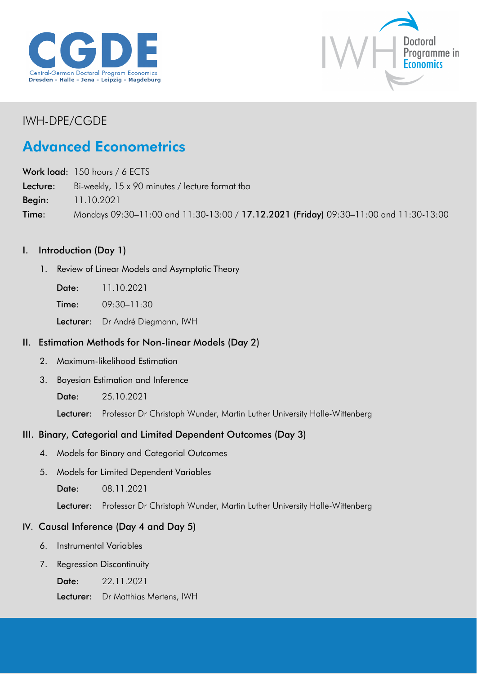



## IWH-DPE/CGDE

# Advanced Econometrics

Work load: 150 hours / 6 ECTS Lecture: Bi-weekly, 15 x 90 minutes / lecture format tba Begin: 11.10.2021 Time: Mondays 09:30–11:00 and 11:30-13:00 / 17.12.2021 (Friday) 09:30–11:00 and 11:30-13:00

### I. Introduction (Day 1)

- 1. Review of Linear Models and Asymptotic Theory
	- Date: 11.10.2021
	- Time: 09:30-11:30

Lecturer: Dr André Diegmann, IWH

### II. Estimation Methods for Non-linear Models (Day 2)

- 2. Maximum-likelihood Estimation
- 3. Bayesian Estimation and Inference
	- Date: 25.10.2021

Lecturer: Professor Dr Christoph Wunder, Martin Luther University Halle-Wittenberg

### III. Binary, Categorial and Limited Dependent Outcomes (Day 3)

- 4. Models for Binary and Categorial Outcomes
- 5. Models for Limited Dependent Variables
	- Date: 08.11.2021

Lecturer: Professor Dr Christoph Wunder, Martin Luther University Halle-Wittenberg

### IV. Causal Inference (Day 4 and Day 5)

- 6. Instrumental Variables
- 7. Regression Discontinuity

Date: 22.11.2021

Lecturer: Dr Matthias Mertens, IWH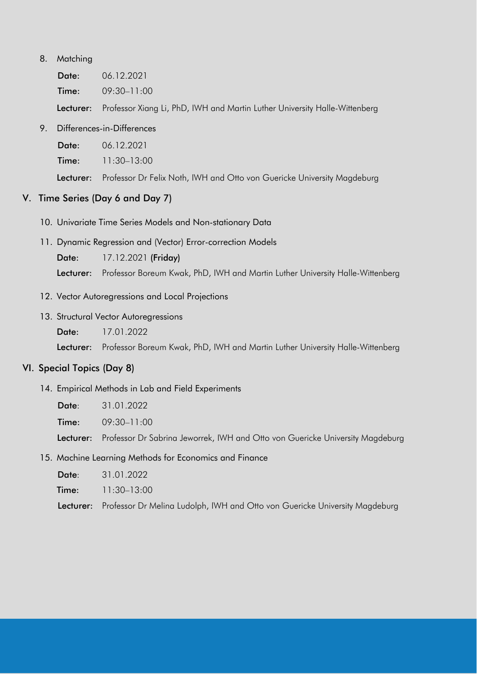#### 8. Matching

| Date: | 06.12.2021      |
|-------|-----------------|
| Time: | $09:30 - 11:00$ |

Lecturer: Professor Xiang Li, PhD, IWH and Martin Luther University Halle-Wittenberg

#### 9. Differences-in-Differences

Date: 06.12.2021

Time: 11:30–13:00

Lecturer: Professor Dr Felix Noth, IWH and Otto von Guericke University Magdeburg

#### V. Time Series (Day 6 and Day 7)

- 10. Univariate Time Series Models and Non-stationary Data
- 11. Dynamic Regression and (Vector) Error-correction Models

Date: 17.12.2021 (Friday)

Lecturer: Professor Boreum Kwak, PhD, IWH and Martin Luther University Halle-Wittenberg

- 12. Vector Autoregressions and Local Projections
- 13. Structural Vector Autoregressions
	- Date: 17.01.2022

Lecturer: Professor Boreum Kwak, PhD, IWH and Martin Luther University Halle-Wittenberg

#### VI. Special Topics (Day 8)

14. Empirical Methods in Lab and Field Experiments

Date: 31.01.2022

Time: 09:30-11:00

Lecturer: Professor Dr Sabrina Jeworrek, IWH and Otto von Guericke University Magdeburg

15. Machine Learning Methods for Economics and Finance

Date: 31.01.2022

Time: 11:30–13:00

Lecturer: Professor Dr Melina Ludolph, IWH and Otto von Guericke University Magdeburg